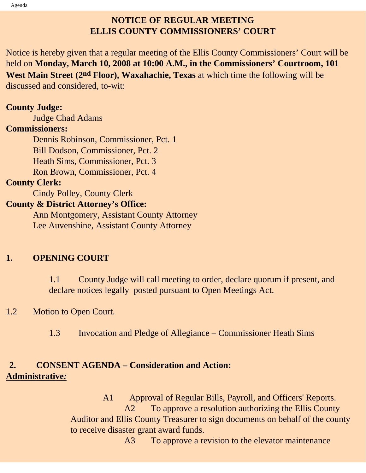## **NOTICE OF REGULAR MEETING ELLIS COUNTY COMMISSIONERS' COURT**

Notice is hereby given that a regular meeting of the Ellis County Commissioners' Court will be held on **Monday, March 10, 2008 at 10:00 A.M., in the Commissioners' Courtroom, 101 West Main Street (2nd Floor), Waxahachie, Texas** at which time the following will be discussed and considered, to-wit:

### **County Judge:**

Judge Chad Adams

#### **Commissioners:**

 Dennis Robinson, Commissioner, Pct. 1 Bill Dodson, Commissioner, Pct. 2 Heath Sims, Commissioner, Pct. 3 Ron Brown, Commissioner, Pct. 4

### **County Clerk:**

Cindy Polley, County Clerk

### **County & District Attorney's Office:**

 Ann Montgomery, Assistant County Attorney Lee Auvenshine, Assistant County Attorney

### **1. OPENING COURT**

1.1 County Judge will call meeting to order, declare quorum if present, and declare notices legally posted pursuant to Open Meetings Act.

### 1.2 Motion to Open Court.

1.3 Invocation and Pledge of Allegiance – Commissioner Heath Sims

## **2. CONSENT AGENDA – Consideration and Action: Administrative***:*

 A1 Approval of Regular Bills, Payroll, and Officers' Reports. A2 To approve a resolution authorizing the Ellis County Auditor and Ellis County Treasurer to sign documents on behalf of the county to receive disaster grant award funds.

A3 To approve a revision to the elevator maintenance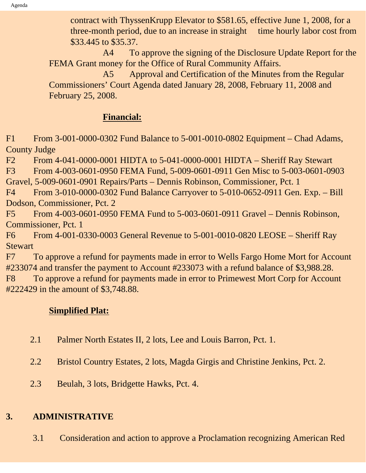contract with ThyssenKrupp Elevator to \$581.65, effective June 1, 2008, for a three-month period, due to an increase in straight time hourly labor cost from \$33.445 to \$35.37.

 A4 To approve the signing of the Disclosure Update Report for the FEMA Grant money for the Office of Rural Community Affairs.

A5 Approval and Certification of the Minutes from the Regular Commissioners' Court Agenda dated January 28, 2008, February 11, 2008 and February 25, 2008.

## **Financial:**

F1 From 3-001-0000-0302 Fund Balance to 5-001-0010-0802 Equipment – Chad Adams, County Judge

F2 From 4-041-0000-0001 HIDTA to 5-041-0000-0001 HIDTA – Sheriff Ray Stewart

F3 From 4-003-0601-0950 FEMA Fund, 5-009-0601-0911 Gen Misc to 5-003-0601-0903

Gravel, 5-009-0601-0901 Repairs/Parts – Dennis Robinson, Commissioner, Pct. 1

F4 From 3-010-0000-0302 Fund Balance Carryover to 5-010-0652-0911 Gen. Exp. – Bill Dodson, Commissioner, Pct. 2

F5 From 4-003-0601-0950 FEMA Fund to 5-003-0601-0911 Gravel – Dennis Robinson, Commissioner, Pct. 1

F6 From 4-001-0330-0003 General Revenue to 5-001-0010-0820 LEOSE – Sheriff Ray **Stewart** 

F7 To approve a refund for payments made in error to Wells Fargo Home Mort for Account #233074 and transfer the payment to Account #233073 with a refund balance of \$3,988.28.

F8 To approve a refund for payments made in error to Primewest Mort Corp for Account #222429 in the amount of \$3,748.88.

## **Simplified Plat:**

- 2.1 Palmer North Estates II, 2 lots, Lee and Louis Barron, Pct. 1.
- 2.2 Bristol Country Estates, 2 lots, Magda Girgis and Christine Jenkins, Pct. 2.
- 2.3 Beulah, 3 lots, Bridgette Hawks, Pct. 4.

# **3. ADMINISTRATIVE**

3.1 Consideration and action to approve a Proclamation recognizing American Red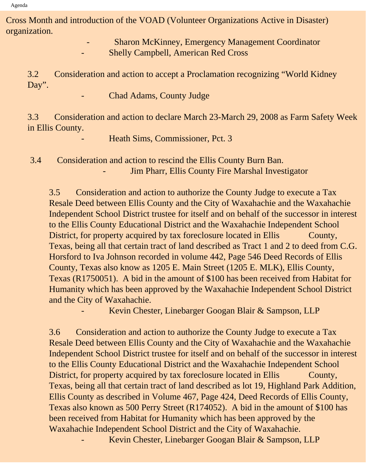Cross Month and introduction of the VOAD (Volunteer Organizations Active in Disaster) organization.

> - Sharon McKinney, Emergency Management Coordinator Shelly Campbell, American Red Cross

3.2 Consideration and action to accept a Proclamation recognizing "World Kidney Day".

Chad Adams, County Judge

3.3 Consideration and action to declare March 23-March 29, 2008 as Farm Safety Week in Ellis County.

Heath Sims, Commissioner, Pct. 3

 3.4 Consideration and action to rescind the Ellis County Burn Ban. Jim Pharr, Ellis County Fire Marshal Investigator

3.5 Consideration and action to authorize the County Judge to execute a Tax Resale Deed between Ellis County and the City of Waxahachie and the Waxahachie Independent School District trustee for itself and on behalf of the successor in interest to the Ellis County Educational District and the Waxahachie Independent School District, for property acquired by tax foreclosure located in Ellis County, Texas, being all that certain tract of land described as Tract 1 and 2 to deed from C.G. Horsford to Iva Johnson recorded in volume 442, Page 546 Deed Records of Ellis County, Texas also know as 1205 E. Main Street (1205 E. MLK), Ellis County, Texas (R1750051). A bid in the amount of \$100 has been received from Habitat for Humanity which has been approved by the Waxahachie Independent School District and the City of Waxahachie.

Kevin Chester, Linebarger Googan Blair & Sampson, LLP

3.6 Consideration and action to authorize the County Judge to execute a Tax Resale Deed between Ellis County and the City of Waxahachie and the Waxahachie Independent School District trustee for itself and on behalf of the successor in interest to the Ellis County Educational District and the Waxahachie Independent School District, for property acquired by tax foreclosure located in Ellis County, Texas, being all that certain tract of land described as lot 19, Highland Park Addition, Ellis County as described in Volume 467, Page 424, Deed Records of Ellis County, Texas also known as 500 Perry Street (R174052). A bid in the amount of \$100 has been received from Habitat for Humanity which has been approved by the Waxahachie Independent School District and the City of Waxahachie.

Kevin Chester, Linebarger Googan Blair & Sampson, LLP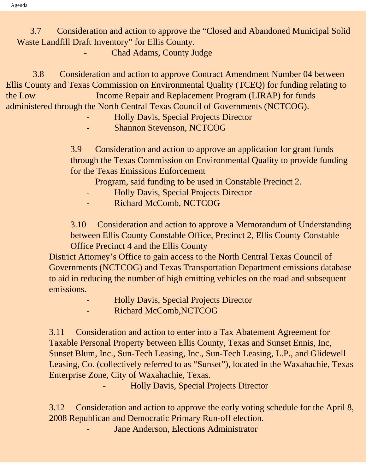3.7 Consideration and action to approve the "Closed and Abandoned Municipal Solid Waste Landfill Draft Inventory" for Ellis County.

Chad Adams, County Judge

 3.8 Consideration and action to approve Contract Amendment Number 04 between Ellis County and Texas Commission on Environmental Quality (TCEQ) for funding relating to the Low Income Repair and Replacement Program (LIRAP) for funds administered through the North Central Texas Council of Governments (NCTCOG).

- Holly Davis, Special Projects Director

Shannon Stevenson, NCTCOG

3.9 Consideration and action to approve an application for grant funds through the Texas Commission on Environmental Quality to provide funding for the Texas Emissions Enforcement

Program, said funding to be used in Constable Precinct 2.

- Holly Davis, Special Projects Director
- Richard McComb, NCTCOG

3.10 Consideration and action to approve a Memorandum of Understanding between Ellis County Constable Office, Precinct 2, Ellis County Constable Office Precinct 4 and the Ellis County

District Attorney's Office to gain access to the North Central Texas Council of Governments (NCTCOG) and Texas Transportation Department emissions database to aid in reducing the number of high emitting vehicles on the road and subsequent emissions.

- Holly Davis, Special Projects Director
- Richard McComb,NCTCOG

3.11 Consideration and action to enter into a Tax Abatement Agreement for Taxable Personal Property between Ellis County, Texas and Sunset Ennis, Inc, Sunset Blum, Inc., Sun-Tech Leasing, Inc., Sun-Tech Leasing, L.P., and Glidewell Leasing, Co. (collectively referred to as "Sunset"), located in the Waxahachie, Texas Enterprise Zone, City of Waxahachie, Texas.

- Holly Davis, Special Projects Director

3.12 Consideration and action to approve the early voting schedule for the April 8, 2008 Republican and Democratic Primary Run-off election.

Jane Anderson, Elections Administrator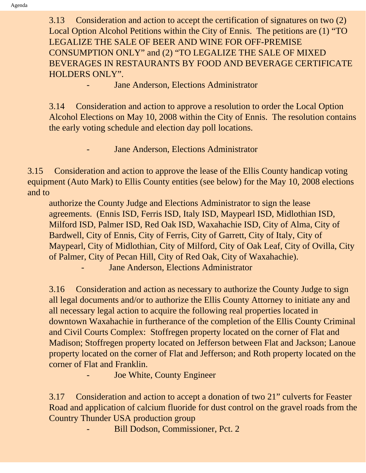3.13 Consideration and action to accept the certification of signatures on two (2) Local Option Alcohol Petitions within the City of Ennis. The petitions are (1) "TO LEGALIZE THE SALE OF BEER AND WINE FOR OFF-PREMISE CONSUMPTION ONLY" and (2) "TO LEGALIZE THE SALE OF MIXED BEVERAGES IN RESTAURANTS BY FOOD AND BEVERAGE CERTIFICATE HOLDERS ONLY".

Jane Anderson, Elections Administrator

3.14 Consideration and action to approve a resolution to order the Local Option Alcohol Elections on May 10, 2008 within the City of Ennis. The resolution contains the early voting schedule and election day poll locations.

Jane Anderson, Elections Administrator

3.15 Consideration and action to approve the lease of the Ellis County handicap voting equipment (Auto Mark) to Ellis County entities (see below) for the May 10, 2008 elections and to

authorize the County Judge and Elections Administrator to sign the lease agreements. (Ennis ISD, Ferris ISD, Italy ISD, Maypearl ISD, Midlothian ISD, Milford ISD, Palmer ISD, Red Oak ISD, Waxahachie ISD, City of Alma, City of Bardwell, City of Ennis, City of Ferris, City of Garrett, City of Italy, City of Maypearl, City of Midlothian, City of Milford, City of Oak Leaf, City of Ovilla, City of Palmer, City of Pecan Hill, City of Red Oak, City of Waxahachie).

Jane Anderson, Elections Administrator

3.16 Consideration and action as necessary to authorize the County Judge to sign all legal documents and/or to authorize the Ellis County Attorney to initiate any and all necessary legal action to acquire the following real properties located in downtown Waxahachie in furtherance of the completion of the Ellis County Criminal and Civil Courts Complex: Stoffregen property located on the corner of Flat and Madison; Stoffregen property located on Jefferson between Flat and Jackson; Lanoue property located on the corner of Flat and Jefferson; and Roth property located on the corner of Flat and Franklin.

Joe White, County Engineer

3.17 Consideration and action to accept a donation of two 21" culverts for Feaster Road and application of calcium fluoride for dust control on the gravel roads from the Country Thunder USA production group

Bill Dodson, Commissioner, Pct. 2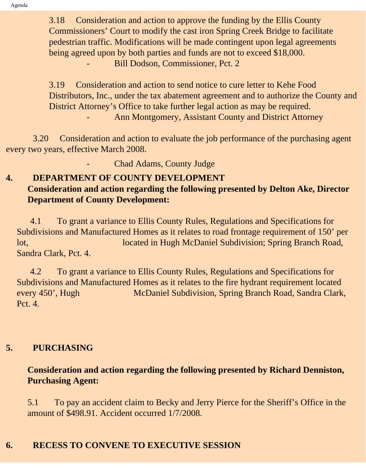3.18 Consideration and action to approve the funding by the Ellis County Commissioners' Court to modify the cast iron Spring Creek Bridge to facilitate pedestrian traffic. Modifications will be made contingent upon legal agreements being agreed upon by both parties and funds are not to exceed \$18,000. Bill Dodson, Commissioner, Pct. 2

3.19 Consideration and action to send notice to cure letter to Kehe Food Distributors, Inc., under the tax abatement agreement and to authorize the County and District Attorney's Office to take further legal action as may be required. Ann Montgomery, Assistant County and District Attorney

 3.20 Consideration and action to evaluate the job performance of the purchasing agent every two years, effective March 2008.

Chad Adams, County Judge

#### **4. DEPARTMENT OF COUNTY DEVELOPMENT Consideration and action regarding the following presented by Delton Ake, Director Department of County Development:**

 4.1 To grant a variance to Ellis County Rules, Regulations and Specifications for Subdivisions and Manufactured Homes as it relates to road frontage requirement of 150' per lot, located in Hugh McDaniel Subdivision; Spring Branch Road, Sandra Clark, Pct. 4.

 4.2 To grant a variance to Ellis County Rules, Regulations and Specifications for Subdivisions and Manufactured Homes as it relates to the fire hydrant requirement located every 450', Hugh McDaniel Subdivision, Spring Branch Road, Sandra Clark, Pct. 4.

### **5. PURCHASING**

## **Consideration and action regarding the following presented by Richard Denniston, Purchasing Agent:**

5.1 To pay an accident claim to Becky and Jerry Pierce for the Sheriff's Office in the amount of \$498.91. Accident occurred 1/7/2008.

## **6. RECESS TO CONVENE TO EXECUTIVE SESSION**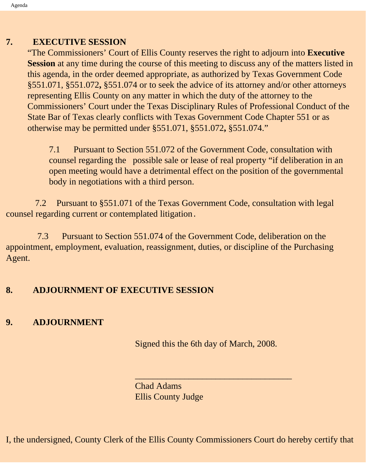## **7. EXECUTIVE SESSION**

"The Commissioners' Court of Ellis County reserves the right to adjourn into **Executive Session** at any time during the course of this meeting to discuss any of the matters listed in this agenda, in the order deemed appropriate, as authorized by Texas Government Code §551.071, §551.072**,** §551.074 or to seek the advice of its attorney and/or other attorneys representing Ellis County on any matter in which the duty of the attorney to the Commissioners' Court under the Texas Disciplinary Rules of Professional Conduct of the State Bar of Texas clearly conflicts with Texas Government Code Chapter 551 or as otherwise may be permitted under §551.071, §551.072**,** §551.074."

7.1 Pursuant to Section 551.072 of the Government Code, consultation with counsel regarding the possible sale or lease of real property "if deliberation in an open meeting would have a detrimental effect on the position of the governmental body in negotiations with a third person.

 7.2 Pursuant to §551.071 of the Texas Government Code, consultation with legal counsel regarding current or contemplated litigation.

 7.3 Pursuant to Section 551.074 of the Government Code, deliberation on the appointment, employment, evaluation, reassignment, duties, or discipline of the Purchasing Agent.

### **8. ADJOURNMENT OF EXECUTIVE SESSION**

### **9. ADJOURNMENT**

Signed this the 6th day of March, 2008.

\_\_\_\_\_\_\_\_\_\_\_\_\_\_\_\_\_\_\_\_\_\_\_\_\_\_\_\_\_\_\_\_\_\_\_

Chad Adams Ellis County Judge

I, the undersigned, County Clerk of the Ellis County Commissioners Court do hereby certify that